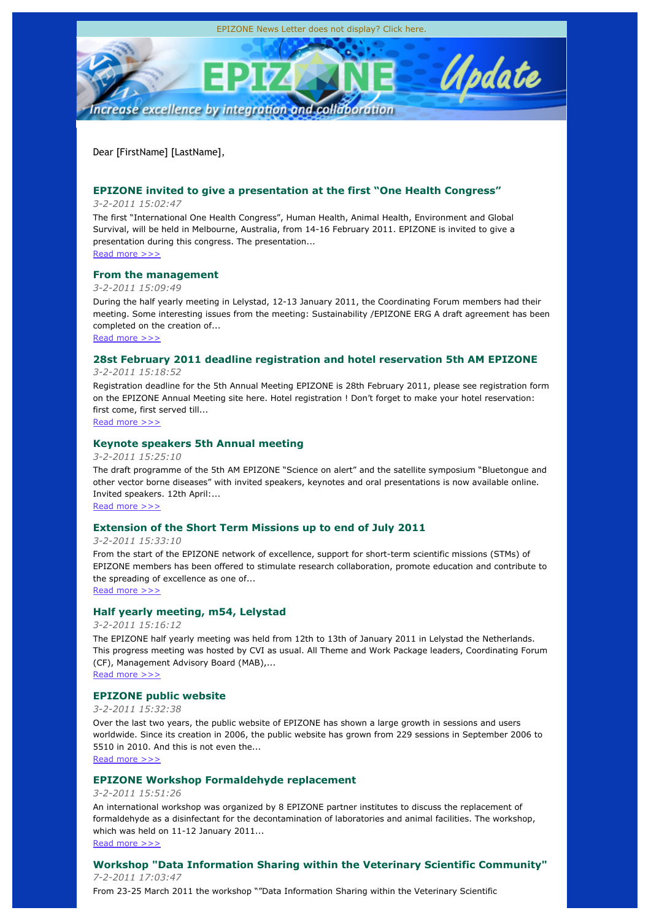Dear [FirstName] [LastName],

## **EPIZONE invited to give a presentation at the first "One Health Congress"**

### *3-2-2011 15:02:47*

The first "International One Health Congress", Human Health, Animal Health, Environment and Global Survival, will be held in Melbourne, Australia, from 14-16 February 2011. EPIZONE is invited to give a presentation during this congress. The presentation... Read more >>>

## **From the management**

## *3-2-2011 15:09:49*

During the half yearly meeting in Lelystad, 12-13 January 2011, the Coordinating Forum members had their meeting. Some interesting issues from the meeting: Sustainability /EPIZONE ERG A draft agreement has been completed on the creation of...

Read more >>>

## **28st February 2011 deadline registration and hotel reservation 5th AM EPIZONE**

### *3-2-2011 15:18:52*

Registration deadline for the 5th Annual Meeting EPIZONE is 28th February 2011, please see registration form on the EPIZONE Annual Meeting site here. Hotel registration ! Don't forget to make your hotel reservation: first come, first served till...

Read more >>>

## **Keynote speakers 5th Annual meeting**

### *3-2-2011 15:25:10*

The draft programme of the 5th AM EPIZONE "Science on alert" and the satellite symposium "Bluetongue and other vector borne diseases" with invited speakers, keynotes and oral presentations is now available online. Invited speakers. 12th April:...

Read more >>>

## **Extension of the Short Term Missions up to end of July 2011**

*3-2-2011 15:33:10*

From the start of the EPIZONE network of excellence, support for short-term scientific missions (STMs) of EPIZONE members has been offered to stimulate research collaboration, promote education and contribute to the spreading of excellence as one of...

Read more >>>

# **Half yearly meeting, m54, Lelystad**

## *3-2-2011 15:16:12*

The EPIZONE half yearly meeting was held from 12th to 13th of January 2011 in Lelystad the Netherlands. This progress meeting was hosted by CVI as usual. All Theme and Work Package leaders, Coordinating Forum (CF), Management Advisory Board (MAB),...

Read more >>>

# **EPIZONE public website**

## *3-2-2011 15:32:38*

Over the last two years, the public website of EPIZONE has shown a large growth in sessions and users worldwide. Since its creation in 2006, the public website has grown from 229 sessions in September 2006 to 5510 in 2010. And this is not even the... Read more >>>

## **EPIZONE Workshop Formaldehyde replacement**

## *3-2-2011 15:51:26*

An international workshop was organized by 8 EPIZONE partner institutes to discuss the replacement of formaldehyde as a disinfectant for the decontamination of laboratories and animal facilities. The workshop, which was held on 11-12 January 2011...

Read more >>>

## **Workshop "Data Information Sharing within the Veterinary Scientific Community"** *7-2-2011 17:03:47*

From 23-25 March 2011 the workshop ""Data Information Sharing within the Veterinary Scientific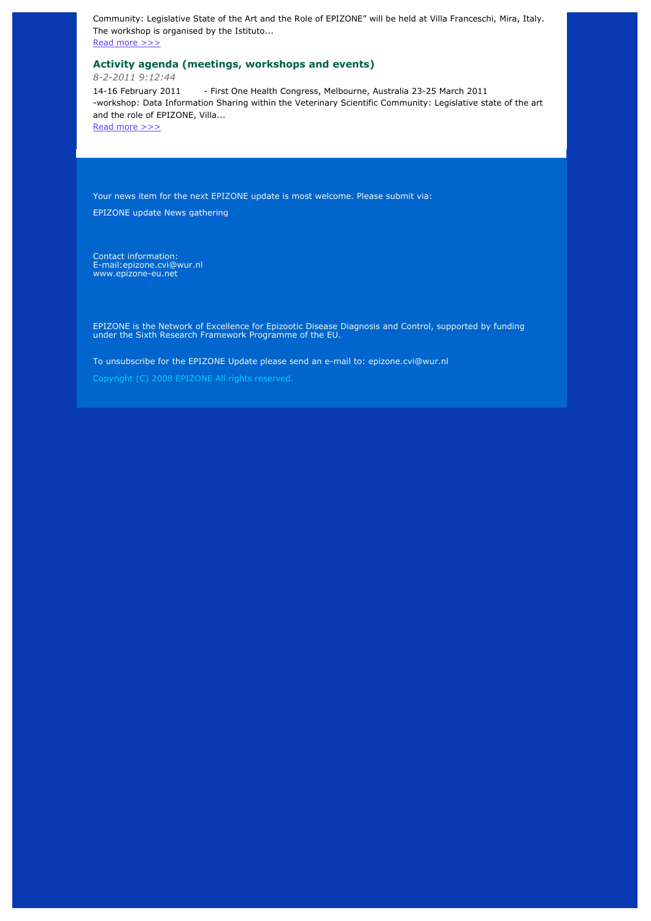Community: Legislative State of the Art and the Role of EPIZONE" will be held at Villa Franceschi, Mira, Italy. The workshop is organised by the Istituto...

Read more >>>

## **Activity agenda (meetings, workshops and events)**

*8-2-2011 9:12:44*

14-16 February 2011 - First One Health Congress, Melbourne, Australia 23-25 March 2011 -workshop: Data Information Sharing within the Veterinary Scientific Community: Legislative state of the art and the role of EPIZONE, Villa...

Read more >>>

Your news item for the next EPIZONE update is most welcome. Please submit via:

EPIZONE update News gathering

Contact information: E-mail:epizone.cvi@wur.nl www.epizone-eu.net

EPIZONE is the Network of Excellence for Epizootic Disease Diagnosis and Control, supported by funding under the Sixth Research Framework Programme of the EU.

To unsubscribe for the EPIZONE Update please send an e-mail to: epizone.cvi@wur.nl

Copyright (C) 2008 EPIZONE All rights reserved.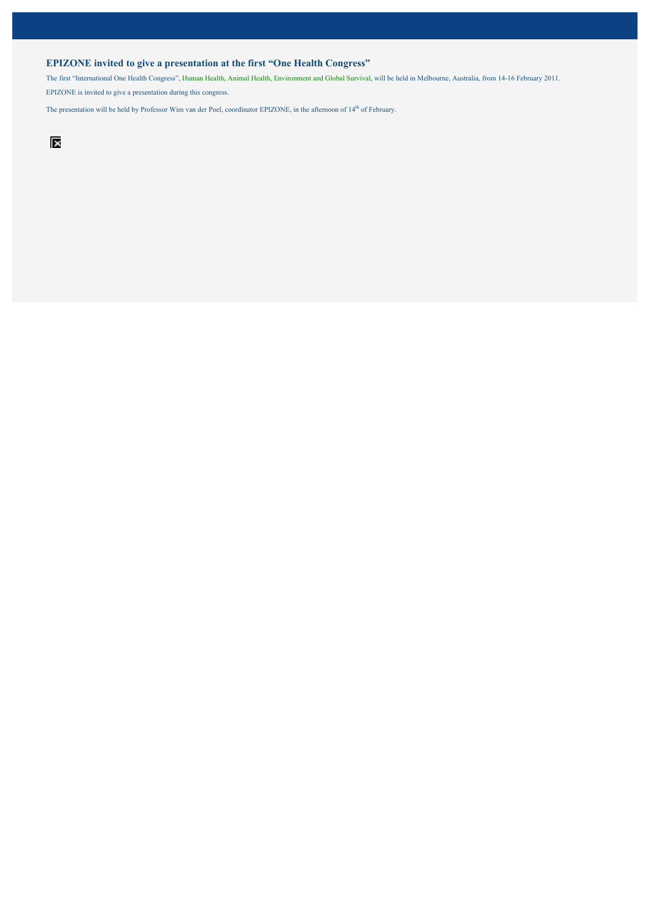### **EPIZONE invited to give a presentation at the first "One Health Congress"**

The first "International One Health Congress", Human Health, Animal Health, Environment and Global Survival, will be held in Melbourne, Australia, from 14-16 February 2011. EPIZONE is invited to give a presentation during this congress.

The presentation will be held by Professor Wim van der Poel, coordinator EPIZONE, in the afternoon of 14<sup>th</sup> of February.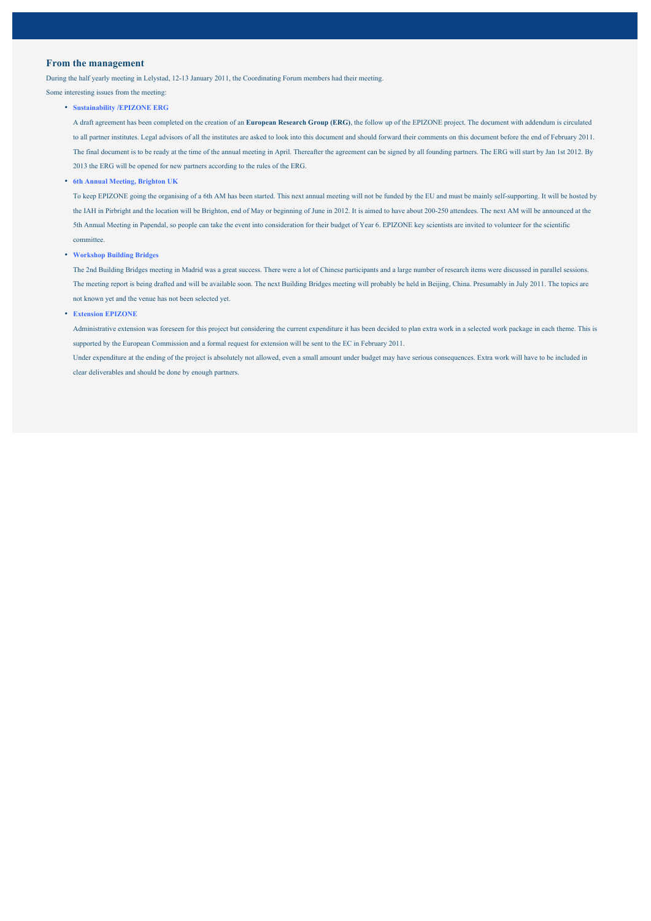### **From the management**

During the half yearly meeting in Lelystad, 12-13 January 2011, the Coordinating Forum members had their meeting.

Some interesting issues from the meeting:

• **Sustainability /EPIZONE ERG**

A draft agreement has been completed on the creation of an **European Research Group (ERG)**, the follow up of the EPIZONE project. The document with addendum is circulated to all partner institutes. Legal advisors of all the institutes are asked to look into this document and should forward their comments on this document before the end of February 2011. The final document is to be ready at the time of the annual meeting in April. Thereafter the agreement can be signed by all founding partners. The ERG will start by Jan 1st 2012. By 2013 the ERG will be opened for new partners according to the rules of the ERG.

• **6th Annual Meeting, Brighton UK**

To keep EPIZONE going the organising of a 6th AM has been started. This next annual meeting will not be funded by the EU and must be mainly self-supporting. It will be hosted by the IAH in Pirbright and the location will be Brighton, end of May or beginning of June in 2012. It is aimed to have about 200-250 attendees. The next AM will be announced at the 5th Annual Meeting in Papendal, so people can take the event into consideration for their budget of Year 6. EPIZONE key scientists are invited to volunteer for the scientific committee.

• **Workshop Building Bridges**

The 2nd Building Bridges meeting in Madrid was a great success. There were a lot of Chinese participants and a large number of research items were discussed in parallel sessions. The meeting report is being drafted and will be available soon. The next Building Bridges meeting will probably be held in Beijing, China. Presumably in July 2011. The topics are not known yet and the venue has not been selected yet.

• **Extension EPIZONE**

Administrative extension was foreseen for this project but considering the current expenditure it has been decided to plan extra work in a selected work package in each theme. This is supported by the European Commission and a formal request for extension will be sent to the EC in February 2011.

Under expenditure at the ending of the project is absolutely not allowed, even a small amount under budget may have serious consequences. Extra work will have to be included in clear deliverables and should be done by enough partners.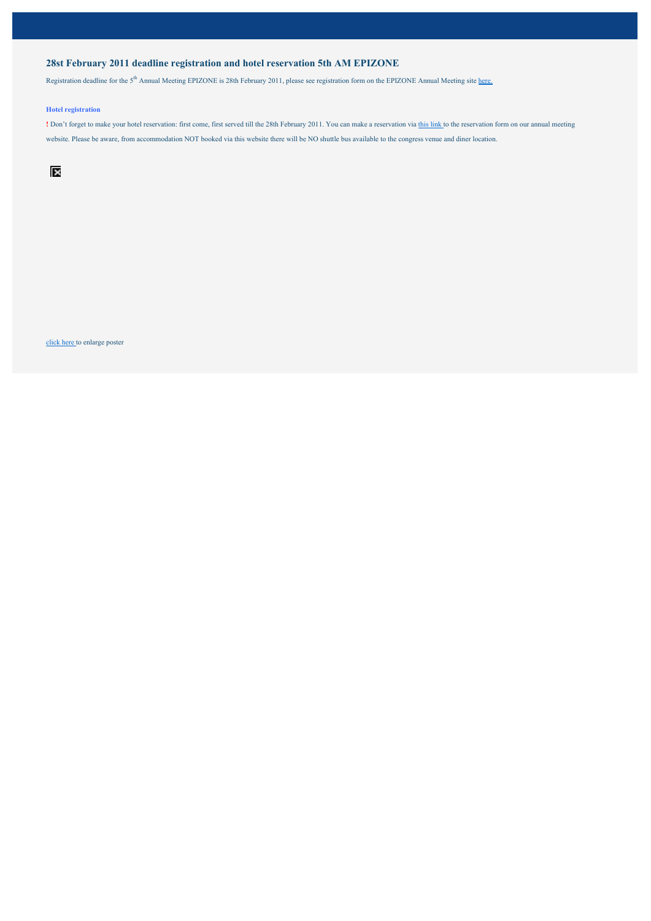### **28st February 2011 deadline registration and hotel reservation 5th AM EPIZONE**

Registration deadline for the 5<sup>th</sup> Annual Meeting EPIZONE is 28th February 2011, please see registration form on the EPIZONE Annual Meeting site here.

#### **Hotel registration**

**!** Don't forget to make your hotel reservation: first come, first served till the 28th February 2011. You can make a reservation via this link to the reservation form on our annual meeting website. Please be aware, from accommodation NOT booked via this website there will be NO shuttle bus available to the congress venue and diner location.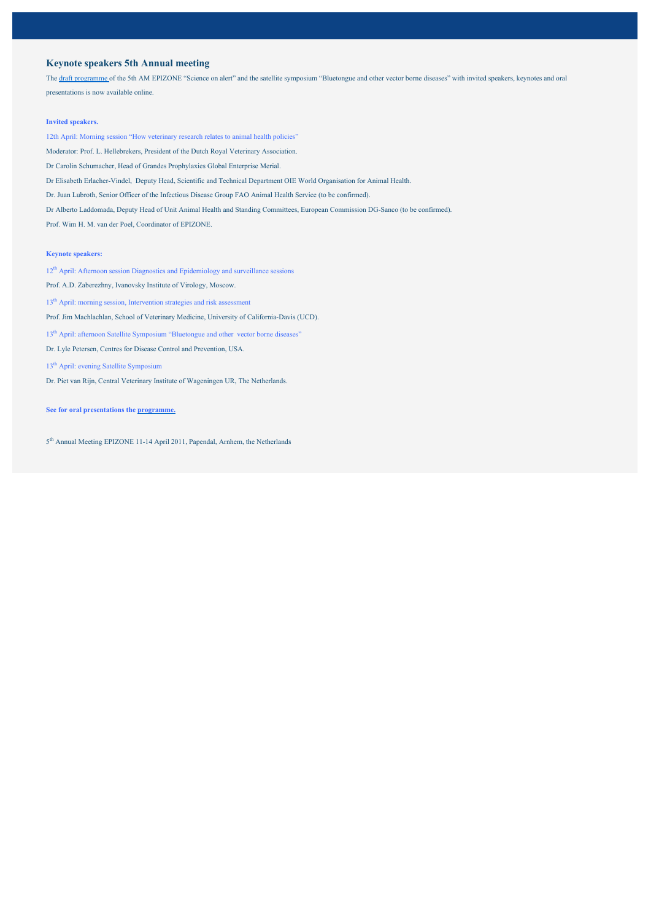### **Keynote speakers 5th Annual meeting**

The draft programme of the 5th AM EPIZONE "Science on alert" and the satellite symposium "Bluetongue and other vector borne diseases" with invited speakers, keynotes and oral presentations is now available online.

#### **Invited speakers.**

12th April: Morning session "How veterinary research relates to animal health policies"

Moderator: Prof. L. Hellebrekers, President of the Dutch Royal Veterinary Association.

Dr Carolin Schumacher, Head of Grandes Prophylaxies Global Enterprise Merial.

Dr Elisabeth Erlacher-Vindel, Deputy Head, Scientific and Technical Department OIE World Organisation for Animal Health.

Dr. Juan Lubroth, Senior Officer of the Infectious Disease Group FAO Animal Health Service (to be confirmed).

Dr Alberto Laddomada, Deputy Head of Unit Animal Health and Standing Committees, European Commission DG-Sanco (to be confirmed).

Prof. Wim H. M. van der Poel, Coordinator of EPIZONE.

#### **Keynote speakers:**

12<sup>th</sup> April: Afternoon session Diagnostics and Epidemiology and surveillance sessions

Prof. A.D. Zaberezhny, Ivanovsky Institute of Virology, Moscow.

13<sup>th</sup> April: morning session, Intervention strategies and risk assessment

Prof. Jim Machlachlan, School of Veterinary Medicine, University of California-Davis (UCD).

13<sup>th</sup> April: afternoon Satellite Symposium "Bluetongue and other vector borne diseases"

- Dr. Lyle Petersen, Centres for Disease Control and Prevention, USA.
- 13th April: evening Satellite Symposium
- Dr. Piet van Rijn, Central Veterinary Institute of Wageningen UR, The Netherlands.

#### **See for oral presentations the programme.**

5<sup>th</sup> Annual Meeting EPIZONE 11-14 April 2011, Papendal, Arnhem, the Netherlands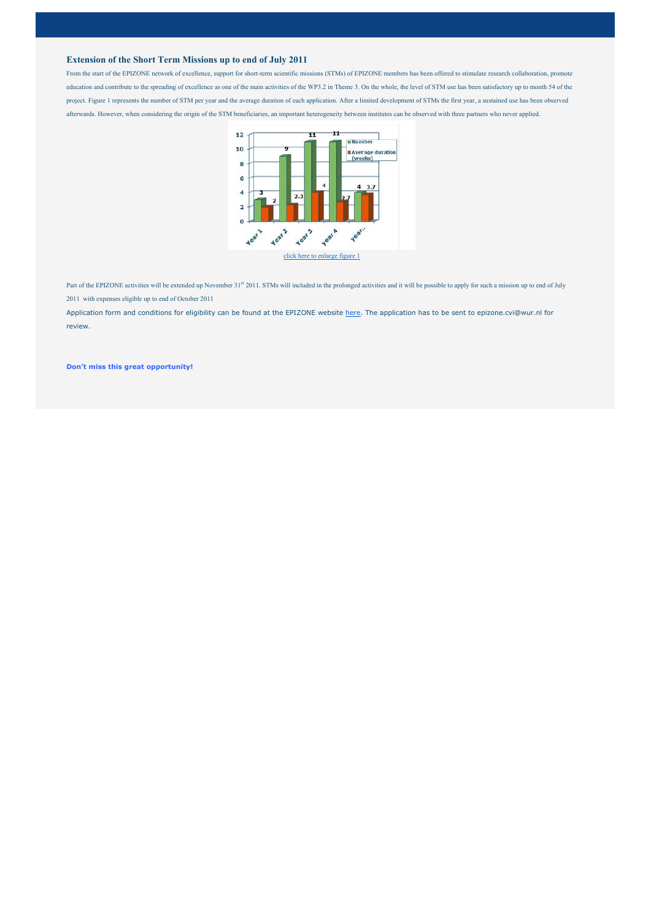#### **Extension of the Short Term Missions up to end of July 2011**

From the start of the EPIZONE network of excellence, support for short-term scientific missions (STMs) of EPIZONE members has been offered to stimulate research collaboration, promote education and contribute to the spreading of excellence as one of the main activities of the WP3.2 in Theme 3. On the whole, the level of STM use has been satisfactory up to month 54 of the project. Figure 1 represents the number of STM per year and the average duration of each application. After a limited development of STMs the first year, a sustained use has been observed afterwards. However, when considering the origin of the STM beneficiaries, an important heterogeneity between institutes can be observed with three partners who never applied.



Part of the EPIZONE activities will be extended up November 31<sup>st</sup> 2011. STMs will included in the prolonged activities and it will be possible to apply for such a mission up to end of July 2011 with expenses eligible up to end of October 2011

Application form and conditions for eligibility can be found at the EPIZONE website here. The application has to be sent to epizone.cvi@wur.nl for review.

**Don't miss this great opportunity!**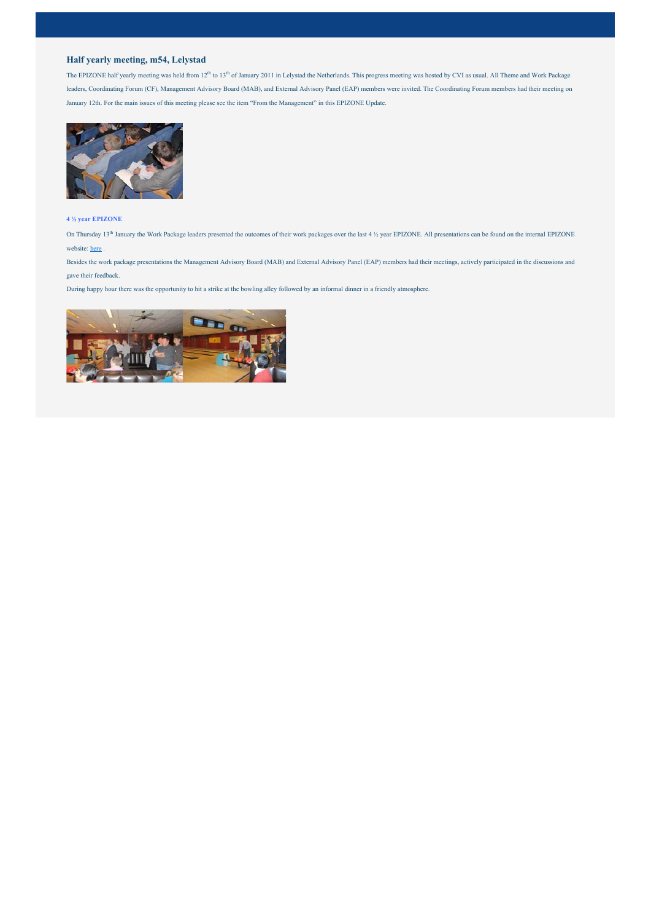### **Half yearly meeting, m54, Lelystad**

The EPIZONE half yearly meeting was held from  $12<sup>th</sup>$  to  $13<sup>th</sup>$  of January 2011 in Lelystad the Netherlands. This progress meeting was hosted by CVI as usual. All Theme and Work Package leaders, Coordinating Forum (CF), Management Advisory Board (MAB), and External Advisory Panel (EAP) members were invited. The Coordinating Forum members had their meeting on January 12th. For the main issues of this meeting please see the item "From the Management" in this EPIZONE Update.



#### **4 ½ year EPIZONE**

On Thursday 13<sup>th</sup> January the Work Package leaders presented the outcomes of their work packages over the last 4 <sup>1</sup>/<sub>2</sub> year EPIZONE. All presentations can be found on the internal EPIZONE website: here .

Besides the work package presentations the Management Advisory Board (MAB) and External Advisory Panel (EAP) members had their meetings, actively participated in the discussions and gave their feedback.

During happy hour there was the opportunity to hit a strike at the bowling alley followed by an informal dinner in a friendly atmosphere.

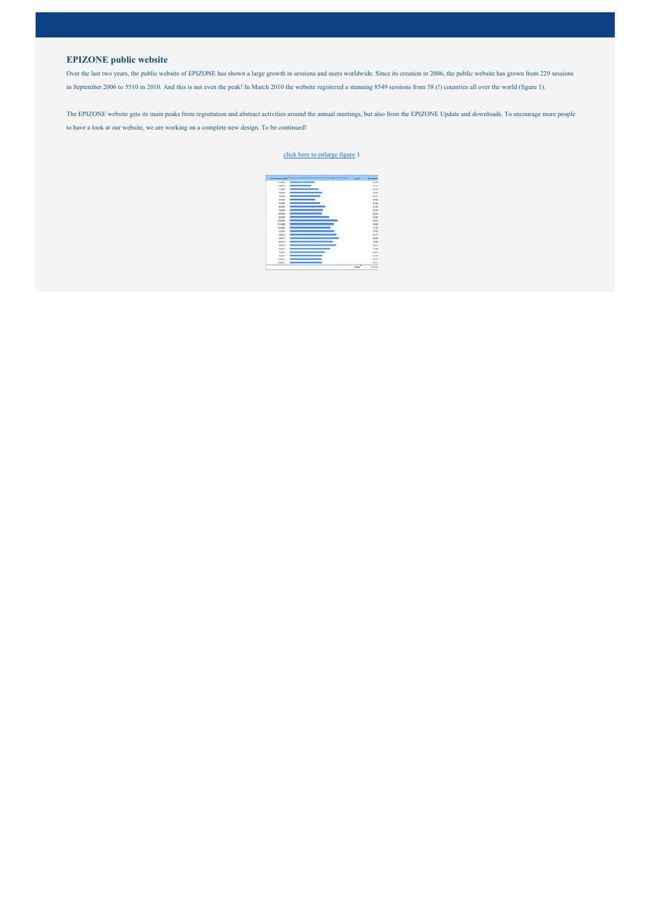### **EPIZONE public website**

Over the last two years, the public website of EPIZONE has shown a large growth in sessions and users worldwide. Since its creation in 2006, the public website has grown from 229 sessions in September 2006 to 5510 in 2010. And this is not even the peak! In March 2010 the website registered a stunning 8549 sessions from 58 (!) countries all over the world (figure 1).

The EPIZONE website gets its main peaks from registration and abstract activities around the annual meetings, but also from the EPIZONE Update and downloads. To encourage more people to have a look at our website, we are working on a complete new design. To be continued!

#### click here to enlarge figure 1

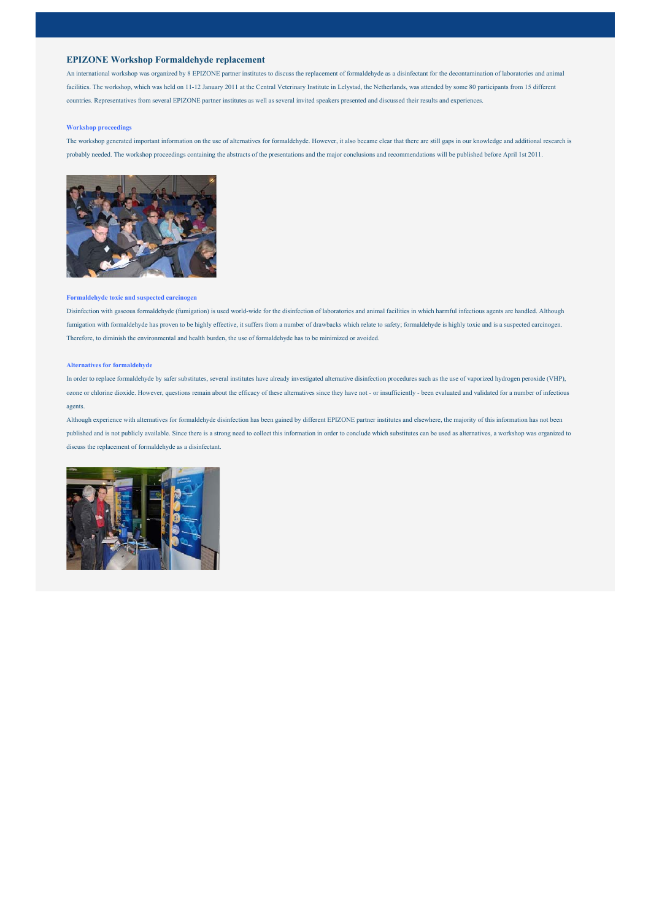#### **EPIZONE Workshop Formaldehyde replacement**

An international workshop was organized by 8 EPIZONE partner institutes to discuss the replacement of formaldehyde as a disinfectant for the decontamination of laboratories and animal facilities. The workshop, which was held on 11-12 January 2011 at the Central Veterinary Institute in Lelystad, the Netherlands, was attended by some 80 participants from 15 different countries. Representatives from several EPIZONE partner institutes as well as several invited speakers presented and discussed their results and experiences.

#### **Workshop proceedings**

The workshop generated important information on the use of alternatives for formaldehyde. However, it also became clear that there are still gaps in our knowledge and additional research is probably needed. The workshop proceedings containing the abstracts of the presentations and the major conclusions and recommendations will be published before April 1st 2011.



#### **Formaldehyde toxic and suspected carcinogen**

Disinfection with gaseous formaldehyde (fumigation) is used world-wide for the disinfection of laboratories and animal facilities in which harmful infectious agents are handled. Although fumigation with formaldehyde has proven to be highly effective, it suffers from a number of drawbacks which relate to safety; formaldehyde is highly toxic and is a suspected carcinogen. Therefore, to diminish the environmental and health burden, the use of formaldehyde has to be minimized or avoided.

#### **Alternatives for formaldehyde**

In order to replace formaldehyde by safer substitutes, several institutes have already investigated alternative disinfection procedures such as the use of vaporized hydrogen peroxide (VHP), ozone or chlorine dioxide. However, questions remain about the efficacy of these alternatives since they have not - or insufficiently - been evaluated and validated for a number of infectious agents.

Although experience with alternatives for formaldehyde disinfection has been gained by different EPIZONE partner institutes and elsewhere, the majority of this information has not been published and is not publicly available. Since there is a strong need to collect this information in order to conclude which substitutes can be used as alternatives, a workshop was organized to discuss the replacement of formaldehyde as a disinfectant.

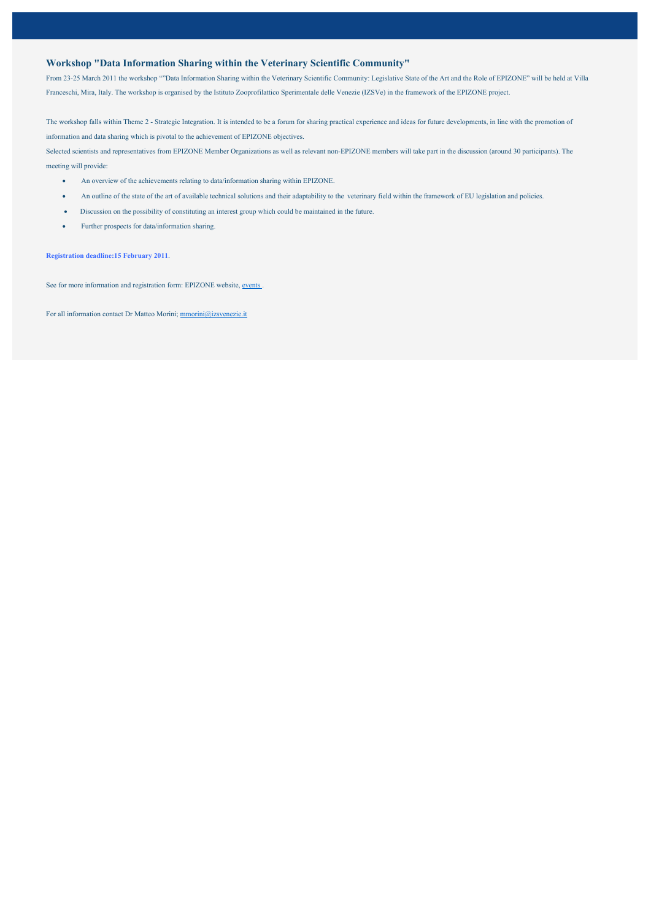### **Workshop "Data Information Sharing within the Veterinary Scientific Community"**

From 23-25 March 2011 the workshop ""Data Information Sharing within the Veterinary Scientific Community: Legislative State of the Art and the Role of EPIZONE" will be held at Villa Franceschi, Mira, Italy. The workshop is organised by the Istituto Zooprofilattico Sperimentale delle Venezie (IZSVe) in the framework of the EPIZONE project.

The workshop falls within Theme 2 - Strategic Integration. It is intended to be a forum for sharing practical experience and ideas for future developments, in line with the promotion of information and data sharing which is pivotal to the achievement of EPIZONE objectives.

Selected scientists and representatives from EPIZONE Member Organizations as well as relevant non-EPIZONE members will take part in the discussion (around 30 participants). The meeting will provide:

- An overview of the achievements relating to data/information sharing within EPIZONE.
- An outline of the state of the art of available technical solutions and their adaptability to the veterinary field within the framework of EU legislation and policies.
- x Discussion on the possibility of constituting an interest group which could be maintained in the future.
- Further prospects for data/information sharing.

**Registration deadline:15 February 2011**.

See for more information and registration form: EPIZONE website, events